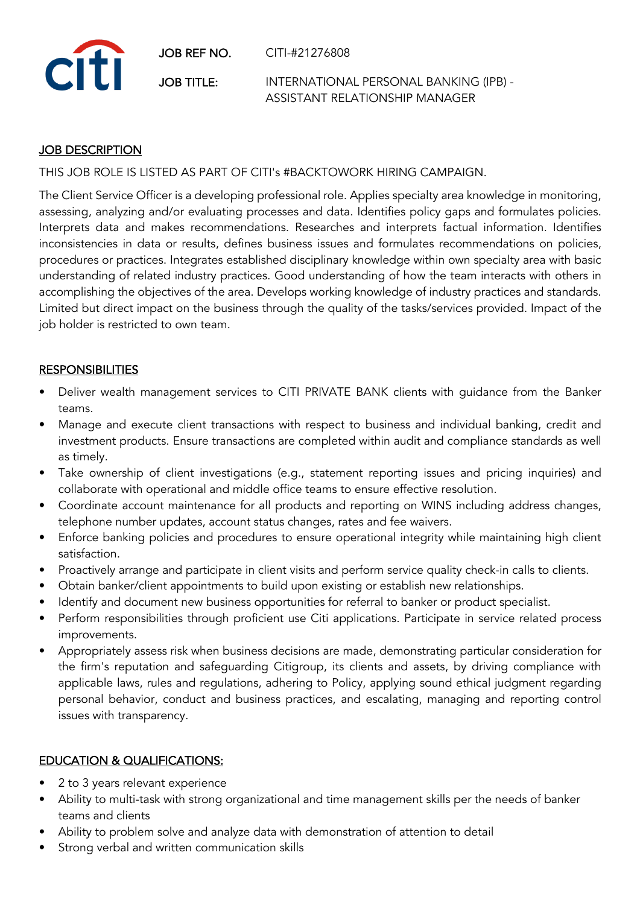JOB REF NO. CITI-#21276808



JOB TITLE: INTERNATIONAL PERSONAL BANKING (IPB) - ASSISTANT RELATIONSHIP MANAGER

## JOB DESCRIPTION

THIS JOB ROLE IS LISTED AS PART OF CITI's #BACKTOWORK HIRING CAMPAIGN.

The Client Service Officer is a developing professional role. Applies specialty area knowledge in monitoring, assessing, analyzing and/or evaluating processes and data. Identifies policy gaps and formulates policies. Interprets data and makes recommendations. Researches and interprets factual information. Identifies inconsistencies in data or results, defines business issues and formulates recommendations on policies, procedures or practices. Integrates established disciplinary knowledge within own specialty area with basic understanding of related industry practices. Good understanding of how the team interacts with others in accomplishing the objectives of the area. Develops working knowledge of industry practices and standards. Limited but direct impact on the business through the quality of the tasks/services provided. Impact of the job holder is restricted to own team.

## **RESPONSIBILITIES**

- Deliver wealth management services to CITI PRIVATE BANK clients with guidance from the Banker teams.
- Manage and execute client transactions with respect to business and individual banking, credit and investment products. Ensure transactions are completed within audit and compliance standards as well as timely.
- Take ownership of client investigations (e.g., statement reporting issues and pricing inquiries) and collaborate with operational and middle office teams to ensure effective resolution.
- Coordinate account maintenance for all products and reporting on WINS including address changes, telephone number updates, account status changes, rates and fee waivers.
- Enforce banking policies and procedures to ensure operational integrity while maintaining high client satisfaction.
- Proactively arrange and participate in client visits and perform service quality check-in calls to clients.
- Obtain banker/client appointments to build upon existing or establish new relationships.
- Identify and document new business opportunities for referral to banker or product specialist.
- Perform responsibilities through proficient use Citi applications. Participate in service related process improvements.
- Appropriately assess risk when business decisions are made, demonstrating particular consideration for the firm's reputation and safeguarding Citigroup, its clients and assets, by driving compliance with applicable laws, rules and regulations, adhering to Policy, applying sound ethical judgment regarding personal behavior, conduct and business practices, and escalating, managing and reporting control issues with transparency.

## EDUCATION & QUALIFICATIONS:

- 2 to 3 years relevant experience
- Ability to multi-task with strong organizational and time management skills per the needs of banker teams and clients
- Ability to problem solve and analyze data with demonstration of attention to detail
- Strong verbal and written communication skills